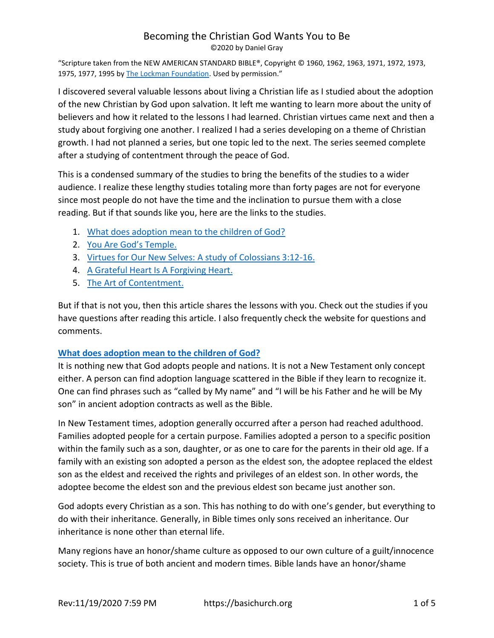# Becoming the Christian God Wants You to Be

©2020 by Daniel Gray

"Scripture taken from the NEW AMERICAN STANDARD BIBLE®, Copyright © 1960, 1962, 1963, 1971, 1972, 1973, 1975, 1977, 1995 b[y The Lockman Foundation](https://www.lockman.org/). Used by permission."

I discovered several valuable lessons about living a Christian life as I studied about the adoption of the new Christian by God upon salvation. It left me wanting to learn more about the unity of believers and how it related to the lessons I had learned. Christian virtues came next and then a study about forgiving one another. I realized I had a series developing on a theme of Christian growth. I had not planned a series, but one topic led to the next. The series seemed complete after a studying of contentment through the peace of God.

This is a condensed summary of the studies to bring the benefits of the studies to a wider audience. I realize these lengthy studies totaling more than forty pages are not for everyone since most people do not have the time and the inclination to pursue them with a close reading. But if that sounds like you, here are the links to the studies.

- 1. [What does adoption mean to the children of God?](https://basichurch.org/biblestudies/77-adopted-by-god-as-viewed-through-the-lens-of-ancient-roman-adoption-practices)
- 2. [You Are God](https://basichurch.org/biblestudies/81-you-are-gods-temple)'s Temple.
- 3. [Virtues for Our New Selves: A study of Colossians 3:12-16.](https://basichurch.org/biblestudies/82-a-study-of-colossians-3-12-17)
- 4. [A Grateful Heart Is A Forgiving Heart.](https://basichurch.org/living-christianity/living-fully-for-god/91-a-grateful-heart-is-a-forgiving-heart)
- 5. [The Art of Contentment.](https://basichurch.org/living-christianity/living-fully-for-god/92-the-art-of-contentment)

But if that is not you, then this article shares the lessons with you. Check out the studies if you have questions after reading this article. I also frequently check the website for questions and comments.

#### **[What does adoption mean to the children of God?](https://basichurch.org/biblestudies/77-adopted-by-god-as-viewed-through-the-lens-of-ancient-roman-adoption-practices)**

It is nothing new that God adopts people and nations. It is not a New Testament only concept either. A person can find adoption language scattered in the Bible if they learn to recognize it. One can find phrases such as "called by My name" and "I will be his Father and he will be My son" in ancient adoption contracts as well as the Bible.

In New Testament times, adoption generally occurred after a person had reached adulthood. Families adopted people for a certain purpose. Families adopted a person to a specific position within the family such as a son, daughter, or as one to care for the parents in their old age. If a family with an existing son adopted a person as the eldest son, the adoptee replaced the eldest son as the eldest and received the rights and privileges of an eldest son. In other words, the adoptee become the eldest son and the previous eldest son became just another son.

God adopts every Christian as a son. This has nothing to do with one's gender, but everything to do with their inheritance. Generally, in Bible times only sons received an inheritance. Our inheritance is none other than eternal life.

Many regions have an honor/shame culture as opposed to our own culture of a guilt/innocence society. This is true of both ancient and modern times. Bible lands have an honor/shame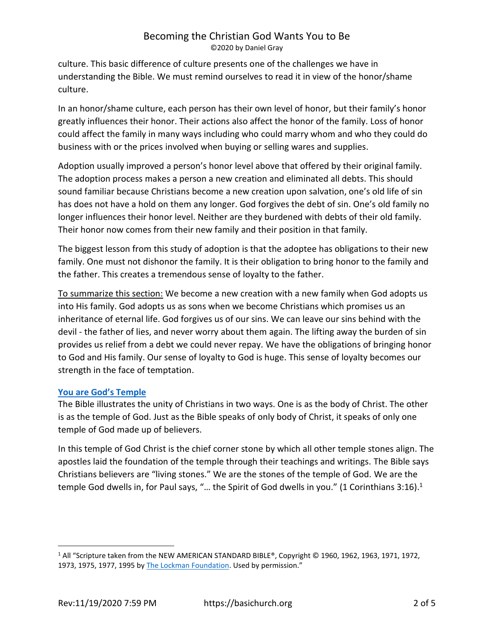culture. This basic difference of culture presents one of the challenges we have in understanding the Bible. We must remind ourselves to read it in view of the honor/shame culture.

In an honor/shame culture, each person has their own level of honor, but their family's honor greatly influences their honor. Their actions also affect the honor of the family. Loss of honor could affect the family in many ways including who could marry whom and who they could do business with or the prices involved when buying or selling wares and supplies.

Adoption usually improved a person's honor level above that offered by their original family. The adoption process makes a person a new creation and eliminated all debts. This should sound familiar because Christians become a new creation upon salvation, one's old life of sin has does not have a hold on them any longer. God forgives the debt of sin. One's old family no longer influences their honor level. Neither are they burdened with debts of their old family. Their honor now comes from their new family and their position in that family.

The biggest lesson from this study of adoption is that the adoptee has obligations to their new family. One must not dishonor the family. It is their obligation to bring honor to the family and the father. This creates a tremendous sense of loyalty to the father.

To summarize this section: We become a new creation with a new family when God adopts us into His family. God adopts us as sons when we become Christians which promises us an inheritance of eternal life. God forgives us of our sins. We can leave our sins behind with the devil - the father of lies, and never worry about them again. The lifting away the burden of sin provides us relief from a debt we could never repay. We have the obligations of bringing honor to God and His family. Our sense of loyalty to God is huge. This sense of loyalty becomes our strength in the face of temptation.

#### **[You are God's Temple](https://basichurch.org/biblestudies/81-you-are-gods-temple)**

The Bible illustrates the unity of Christians in two ways. One is as the body of Christ. The other is as the temple of God. Just as the Bible speaks of only body of Christ, it speaks of only one temple of God made up of believers.

In this temple of God Christ is the chief corner stone by which all other temple stones align. The apostles laid the foundation of the temple through their teachings and writings. The Bible says Christians believers are "living stones." We are the stones of the temple of God. We are the temple God dwells in, for Paul says, "... the Spirit of God dwells in you." (1 Corinthians  $3:16$ ).<sup>1</sup>

<sup>1</sup> All "Scripture taken from the NEW AMERICAN STANDARD BIBLE®, Copyright © 1960, 1962, 1963, 1971, 1972, 1973, 1975, 1977, 1995 b[y The Lockman Foundation](https://www.lockman.org/). Used by permission."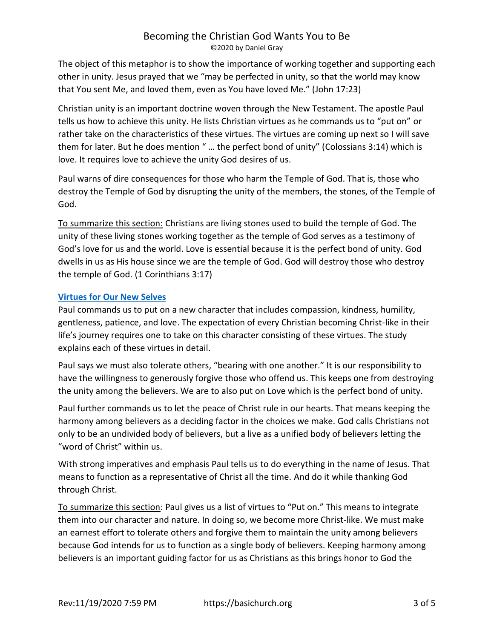The object of this metaphor is to show the importance of working together and supporting each other in unity. Jesus prayed that we "may be perfected in unity, so that the world may know that You sent Me, and loved them, even as You have loved Me." (John 17:23)

Christian unity is an important doctrine woven through the New Testament. The apostle Paul tells us how to achieve this unity. He lists Christian virtues as he commands us to "put on" or rather take on the characteristics of these virtues. The virtues are coming up next so I will save them for later. But he does mention " … the perfect bond of unity" (Colossians 3:14) which is love. It requires love to achieve the unity God desires of us.

Paul warns of dire consequences for those who harm the Temple of God. That is, those who destroy the Temple of God by disrupting the unity of the members, the stones, of the Temple of God.

To summarize this section: Christians are living stones used to build the temple of God. The unity of these living stones working together as the temple of God serves as a testimony of God's love for us and the world. Love is essential because it is the perfect bond of unity. God dwells in us as His house since we are the temple of God. God will destroy those who destroy the temple of God. (1 Corinthians 3:17)

## **[Virtues for Our New Selves](https://basichurch.org/biblestudies/82-a-study-of-colossians-3-12-17)**

Paul commands us to put on a new character that includes compassion, kindness, humility, gentleness, patience, and love. The expectation of every Christian becoming Christ-like in their life's journey requires one to take on this character consisting of these virtues. The study explains each of these virtues in detail.

Paul says we must also tolerate others, "bearing with one another." It is our responsibility to have the willingness to generously forgive those who offend us. This keeps one from destroying the unity among the believers. We are to also put on Love which is the perfect bond of unity.

Paul further commands us to let the peace of Christ rule in our hearts. That means keeping the harmony among believers as a deciding factor in the choices we make. God calls Christians not only to be an undivided body of believers, but a live as a unified body of believers letting the "word of Christ" within us.

With strong imperatives and emphasis Paul tells us to do everything in the name of Jesus. That means to function as a representative of Christ all the time. And do it while thanking God through Christ.

To summarize this section: Paul gives us a list of virtues to "Put on." This means to integrate them into our character and nature. In doing so, we become more Christ-like. We must make an earnest effort to tolerate others and forgive them to maintain the unity among believers because God intends for us to function as a single body of believers. Keeping harmony among believers is an important guiding factor for us as Christians as this brings honor to God the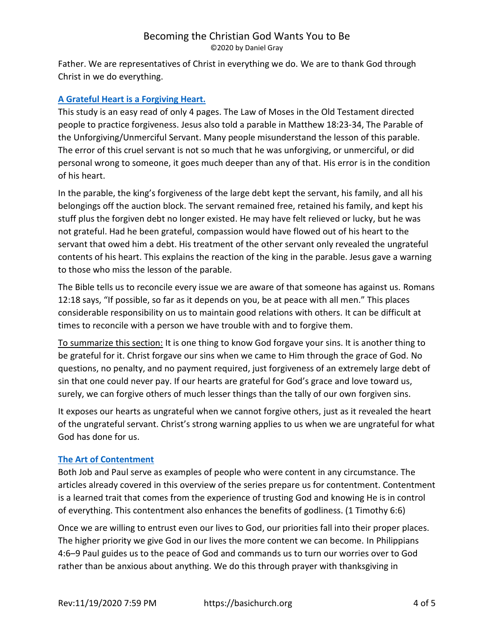Father. We are representatives of Christ in everything we do. We are to thank God through Christ in we do everything.

## **[A Grateful Heart is a Forgiving Heart.](https://basichurch.org/living-christianity/living-fully-for-god/91-a-grateful-heart-is-a-forgiving-heart)**

This study is an easy read of only 4 pages. The Law of Moses in the Old Testament directed people to practice forgiveness. Jesus also told a parable in Matthew 18:23-34, The Parable of the Unforgiving/Unmerciful Servant. Many people misunderstand the lesson of this parable. The error of this cruel servant is not so much that he was unforgiving, or unmerciful, or did personal wrong to someone, it goes much deeper than any of that. His error is in the condition of his heart.

In the parable, the king's forgiveness of the large debt kept the servant, his family, and all his belongings off the auction block. The servant remained free, retained his family, and kept his stuff plus the forgiven debt no longer existed. He may have felt relieved or lucky, but he was not grateful. Had he been grateful, compassion would have flowed out of his heart to the servant that owed him a debt. His treatment of the other servant only revealed the ungrateful contents of his heart. This explains the reaction of the king in the parable. Jesus gave a warning to those who miss the lesson of the parable.

The Bible tells us to reconcile every issue we are aware of that someone has against us. Romans 12:18 says, "If possible, so far as it depends on you, be at peace with all men." This places considerable responsibility on us to maintain good relations with others. It can be difficult at times to reconcile with a person we have trouble with and to forgive them.

To summarize this section: It is one thing to know God forgave your sins. It is another thing to be grateful for it. Christ forgave our sins when we came to Him through the grace of God. No questions, no penalty, and no payment required, just forgiveness of an extremely large debt of sin that one could never pay. If our hearts are grateful for God's grace and love toward us, surely, we can forgive others of much lesser things than the tally of our own forgiven sins.

It exposes our hearts as ungrateful when we cannot forgive others, just as it revealed the heart of the ungrateful servant. Christ's strong warning applies to us when we are ungrateful for what God has done for us.

#### **[The Art of Contentment](https://basichurch.org/living-christianity/living-fully-for-god/92-the-art-of-contentment)**

Both Job and Paul serve as examples of people who were content in any circumstance. The articles already covered in this overview of the series prepare us for contentment. Contentment is a learned trait that comes from the experience of trusting God and knowing He is in control of everything. This contentment also enhances the benefits of godliness. (1 Timothy 6:6)

Once we are willing to entrust even our lives to God, our priorities fall into their proper places. The higher priority we give God in our lives the more content we can become. In Philippians 4:6–9 Paul guides us to the peace of God and commands us to turn our worries over to God rather than be anxious about anything. We do this through prayer with thanksgiving in